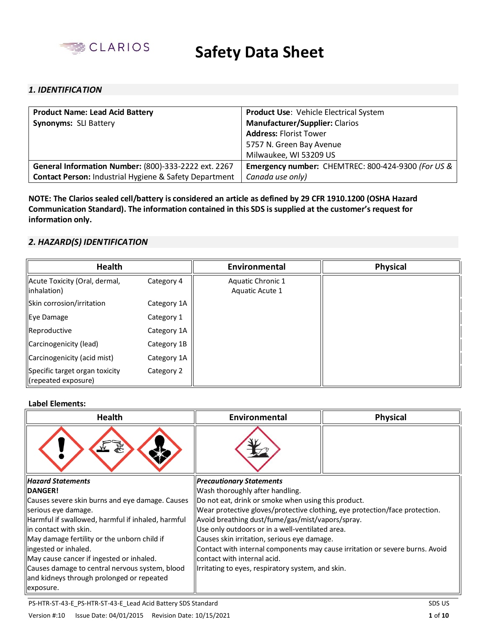

## *1. IDENTIFICATION*

| <b>Product Name: Lead Acid Battery</b>                            | <b>Product Use: Vehicle Electrical System</b>      |  |  |
|-------------------------------------------------------------------|----------------------------------------------------|--|--|
| <b>Synonyms: SLI Battery</b>                                      | <b>Manufacturer/Supplier: Clarios</b>              |  |  |
|                                                                   | <b>Address: Florist Tower</b>                      |  |  |
|                                                                   | 5757 N. Green Bay Avenue                           |  |  |
|                                                                   | Milwaukee, WI 53209 US                             |  |  |
| General Information Number: (800)-333-2222 ext. 2267              | Emergency number: CHEMTREC: 800-424-9300 (For US & |  |  |
| <b>Contact Person: Industrial Hygiene &amp; Safety Department</b> | Canada use only)                                   |  |  |

**NOTE: The Clarios sealed cell/battery is considered an article as defined by 29 CFR 1910.1200 (OSHA Hazard Communication Standard). The information contained in this SDS is supplied at the customer's request for information only.** 

## *2. HAZARD(S) IDENTIFICATION*

| <b>Health</b>                                         |             | Environmental                        | <b>Physical</b> |
|-------------------------------------------------------|-------------|--------------------------------------|-----------------|
| Acute Toxicity (Oral, dermal,<br>inhalation)          | Category 4  | Aquatic Chronic 1<br>Aquatic Acute 1 |                 |
| Skin corrosion/irritation                             | Category 1A |                                      |                 |
| Eye Damage                                            | Category 1  |                                      |                 |
| Reproductive                                          | Category 1A |                                      |                 |
| Carcinogenicity (lead)                                | Category 1B |                                      |                 |
| Carcinogenicity (acid mist)                           | Category 1A |                                      |                 |
| Specific target organ toxicity<br>(repeated exposure) | Category 2  |                                      |                 |

#### **Label Elements:**

| <b>Health</b>                                     | Environmental                                                                | <b>Physical</b> |  |
|---------------------------------------------------|------------------------------------------------------------------------------|-----------------|--|
|                                                   |                                                                              |                 |  |
| <b>Hazard Statements</b>                          | <b>Precautionary Statements</b>                                              |                 |  |
| <b>DANGER!</b>                                    | Wash thoroughly after handling.                                              |                 |  |
| Causes severe skin burns and eye damage. Causes   | Do not eat, drink or smoke when using this product.                          |                 |  |
| serious eye damage.                               | Wear protective gloves/protective clothing, eye protection/face protection.  |                 |  |
| Harmful if swallowed, harmful if inhaled, harmful | Avoid breathing dust/fume/gas/mist/vapors/spray.                             |                 |  |
| llin contact with skin.                           | Use only outdoors or in a well-ventilated area.                              |                 |  |
| May damage fertility or the unborn child if       | Causes skin irritation, serious eye damage.                                  |                 |  |
| llingested or inhaled.                            | Contact with internal components may cause irritation or severe burns. Avoid |                 |  |
| May cause cancer if ingested or inhaled.          | contact with internal acid.                                                  |                 |  |
| Causes damage to central nervous system, blood    | Irritating to eyes, respiratory system, and skin.                            |                 |  |
| and kidneys through prolonged or repeated         |                                                                              |                 |  |
| exposure.                                         |                                                                              |                 |  |

PS-HTR-ST-43-E\_PS-HTR-ST-43-E\_Lead Acid Battery SDS Standard SDS US Standard SDS US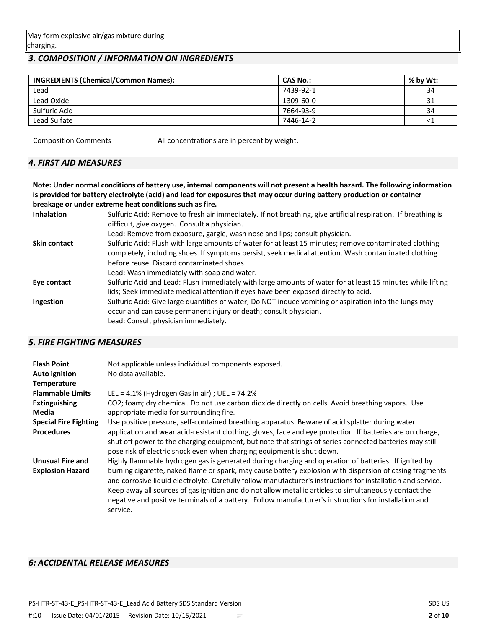| / form explosive air/gas mixture during<br><b>May</b> |  |
|-------------------------------------------------------|--|
| charging                                              |  |

## *3. COMPOSITION / INFORMATION ON INGREDIENTS*

| <b>INGREDIENTS (Chemical/Common Names):</b> | <b>CAS No.:</b> | % by Wt: |
|---------------------------------------------|-----------------|----------|
| Lead                                        | 7439-92-1       | 34       |
| Lead Oxide                                  | 1309-60-0       | 31       |
| Sulfuric Acid                               | 7664-93-9       | 34       |
| Lead Sulfate                                | 7446-14-2       | $\leq$ 1 |

Composition Comments All concentrations are in percent by weight.

## *4. FIRST AID MEASURES*

**Note: Under normal conditions of battery use, internal components will not present a health hazard. The following information is provided for battery electrolyte (acid) and lead for exposures that may occur during battery production or container breakage or under extreme heat conditions such as fire.** 

| <b>Inhalation</b>   | Sulfuric Acid: Remove to fresh air immediately. If not breathing, give artificial respiration. If breathing is |
|---------------------|----------------------------------------------------------------------------------------------------------------|
|                     | difficult, give oxygen. Consult a physician.                                                                   |
|                     | Lead: Remove from exposure, gargle, wash nose and lips; consult physician.                                     |
| <b>Skin contact</b> | Sulfuric Acid: Flush with large amounts of water for at least 15 minutes; remove contaminated clothing         |
|                     | completely, including shoes. If symptoms persist, seek medical attention. Wash contaminated clothing           |
|                     | before reuse. Discard contaminated shoes.                                                                      |
|                     | Lead: Wash immediately with soap and water.                                                                    |
| Eye contact         | Sulfuric Acid and Lead: Flush immediately with large amounts of water for at least 15 minutes while lifting    |
|                     | lids; Seek immediate medical attention if eyes have been exposed directly to acid.                             |
| Ingestion           | Sulfuric Acid: Give large quantities of water; Do NOT induce vomiting or aspiration into the lungs may         |
|                     | occur and can cause permanent injury or death; consult physician.                                              |
|                     | Lead: Consult physician immediately.                                                                           |

## *5. FIRE FIGHTING MEASURES*

| <b>Flash Point</b><br><b>Auto ignition</b> | Not applicable unless individual components exposed.<br>No data available.                                                                                                                                                                                                                                                                                                                                                                              |
|--------------------------------------------|---------------------------------------------------------------------------------------------------------------------------------------------------------------------------------------------------------------------------------------------------------------------------------------------------------------------------------------------------------------------------------------------------------------------------------------------------------|
| Temperature                                |                                                                                                                                                                                                                                                                                                                                                                                                                                                         |
| <b>Flammable Limits</b>                    | LEL = $4.1\%$ (Hydrogen Gas in air) ; UEL = $74.2\%$                                                                                                                                                                                                                                                                                                                                                                                                    |
| <b>Extinguishing</b>                       | CO2; foam; dry chemical. Do not use carbon dioxide directly on cells. Avoid breathing vapors. Use                                                                                                                                                                                                                                                                                                                                                       |
| Media                                      | appropriate media for surrounding fire.                                                                                                                                                                                                                                                                                                                                                                                                                 |
| <b>Special Fire Fighting</b>               | Use positive pressure, self-contained breathing apparatus. Beware of acid splatter during water                                                                                                                                                                                                                                                                                                                                                         |
| <b>Procedures</b>                          | application and wear acid-resistant clothing, gloves, face and eye protection. If batteries are on charge,<br>shut off power to the charging equipment, but note that strings of series connected batteries may still<br>pose risk of electric shock even when charging equipment is shut down.                                                                                                                                                         |
| <b>Unusual Fire and</b>                    | Highly flammable hydrogen gas is generated during charging and operation of batteries. If ignited by                                                                                                                                                                                                                                                                                                                                                    |
| <b>Explosion Hazard</b>                    | burning cigarette, naked flame or spark, may cause battery explosion with dispersion of casing fragments<br>and corrosive liquid electrolyte. Carefully follow manufacturer's instructions for installation and service.<br>Keep away all sources of gas ignition and do not allow metallic articles to simultaneously contact the<br>negative and positive terminals of a battery. Follow manufacturer's instructions for installation and<br>service. |

## *6: ACCIDENTAL RELEASE MEASURES*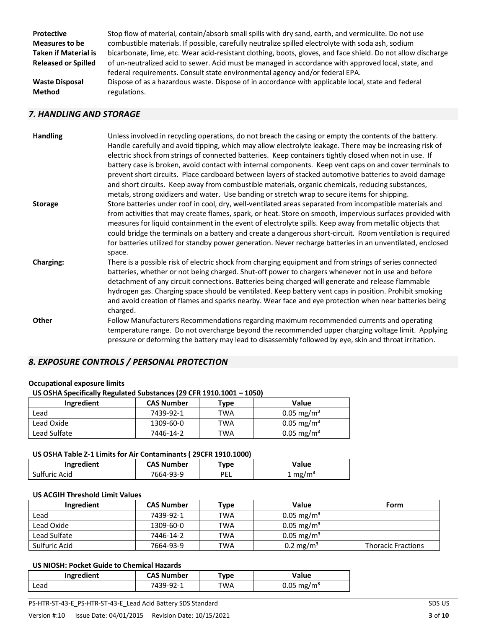**Protective Measures to be Taken if Material is Released or Spilled Waste Disposal Method**

Stop flow of material, contain/absorb small spills with dry sand, earth, and vermiculite. Do not use combustible materials. If possible, carefully neutralize spilled electrolyte with soda ash, sodium bicarbonate, lime, etc. Wear acid-resistant clothing, boots, gloves, and face shield. Do not allow discharge of un-neutralized acid to sewer. Acid must be managed in accordance with approved local, state, and federal requirements. Consult state environmental agency and/or federal EPA. Dispose of as a hazardous waste. Dispose of in accordance with applicable local, state and federal regulations.

### *7. HANDLING AND STORAGE*

| <b>Handling</b>  | Unless involved in recycling operations, do not breach the casing or empty the contents of the battery.<br>Handle carefully and avoid tipping, which may allow electrolyte leakage. There may be increasing risk of<br>electric shock from strings of connected batteries. Keep containers tightly closed when not in use. If<br>battery case is broken, avoid contact with internal components. Keep vent caps on and cover terminals to<br>prevent short circuits. Place cardboard between layers of stacked automotive batteries to avoid damage<br>and short circuits. Keep away from combustible materials, organic chemicals, reducing substances,<br>metals, strong oxidizers and water. Use banding or stretch wrap to secure items for shipping. |
|------------------|-----------------------------------------------------------------------------------------------------------------------------------------------------------------------------------------------------------------------------------------------------------------------------------------------------------------------------------------------------------------------------------------------------------------------------------------------------------------------------------------------------------------------------------------------------------------------------------------------------------------------------------------------------------------------------------------------------------------------------------------------------------|
| <b>Storage</b>   | Store batteries under roof in cool, dry, well-ventilated areas separated from incompatible materials and<br>from activities that may create flames, spark, or heat. Store on smooth, impervious surfaces provided with<br>measures for liquid containment in the event of electrolyte spills. Keep away from metallic objects that<br>could bridge the terminals on a battery and create a dangerous short-circuit. Room ventilation is required<br>for batteries utilized for standby power generation. Never recharge batteries in an unventilated, enclosed<br>space.                                                                                                                                                                                  |
| <b>Charging:</b> | There is a possible risk of electric shock from charging equipment and from strings of series connected<br>batteries, whether or not being charged. Shut-off power to chargers whenever not in use and before<br>detachment of any circuit connections. Batteries being charged will generate and release flammable<br>hydrogen gas. Charging space should be ventilated. Keep battery vent caps in position. Prohibit smoking<br>and avoid creation of flames and sparks nearby. Wear face and eye protection when near batteries being<br>charged.                                                                                                                                                                                                      |
| Other            | Follow Manufacturers Recommendations regarding maximum recommended currents and operating<br>temperature range. Do not overcharge beyond the recommended upper charging voltage limit. Applying<br>pressure or deforming the battery may lead to disassembly followed by eye, skin and throat irritation.                                                                                                                                                                                                                                                                                                                                                                                                                                                 |

## *8. EXPOSURE CONTROLS / PERSONAL PROTECTION*

# **Occupational exposure limits**

| US OSHA Specifically Regulated Substances (29 CFR 1910.1001 - 1050) |           |       |                    |  |  |
|---------------------------------------------------------------------|-----------|-------|--------------------|--|--|
| <b>CAS Number</b><br>Value<br>Ingredient<br>Tvpe                    |           |       |                    |  |  |
| امحم ا                                                              | 7120.02.1 | ۸۱۸/۳ | $0.05 \text{ rad}$ |  |  |

|              | ------------ | .   | .                        |
|--------------|--------------|-----|--------------------------|
| ∟ead         | 7439-92-1    | ™A  | $0.05 \,\mathrm{mg/m^3}$ |
| Lead Oxide   | 1309-60-0    | TWA | $0.05 \,\mathrm{mg/m^3}$ |
| Lead Sulfate | 7446-14-2    | TWA | $0.05$ mg/m <sup>3</sup> |

## **US OSHA Table Z-1 Limits for Air Contaminants ( 29CFR 1910.1000)**

| Ingredient    | <b>CAS Number</b> | "vpe | Value              |
|---------------|-------------------|------|--------------------|
| Sulfuric Acid | 7664-93-9         | PEL  | $1 \text{ mg/m}^3$ |

#### **US ACGIH Threshold Limit Values**

| Ingredient    | <b>CAS Number</b> | Type | Value                  | Form                      |
|---------------|-------------------|------|------------------------|---------------------------|
| Lead          | 7439-92-1         | TWA  | 0.05 mg/m <sup>3</sup> |                           |
| Lead Oxide    | 1309-60-0         | TWA  | 0.05 mg/m <sup>3</sup> |                           |
| Lead Sulfate  | 7446-14-2         | TWA  | 0.05 mg/m <sup>3</sup> |                           |
| Sulfuric Acid | 7664-93-9         | TWA  | 0.2 mg/m <sup>3</sup>  | <b>Thoracic Fractions</b> |

#### **US NIOSH: Pocket Guide to Chemical Hazards**

| Ingredient | <b>CAS Number</b> | Type | Value                    |
|------------|-------------------|------|--------------------------|
| ∟ead       | 7439-92-1         | TWA  | $0.05 \,\mathrm{mg/m^3}$ |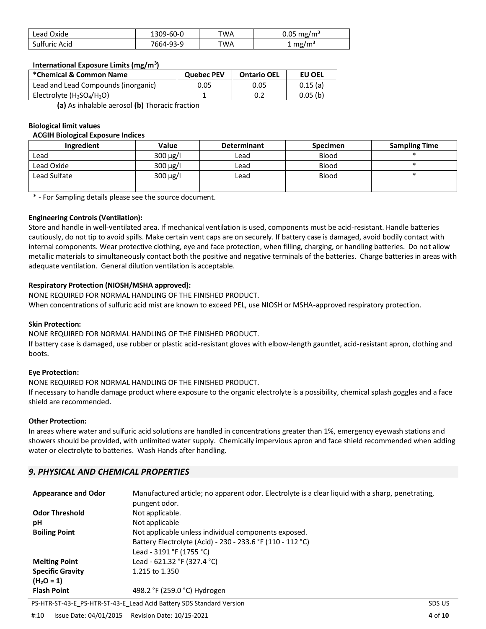| Lead Oxide    | 1309-60-0 | ™A | $0.05$ mg/m <sup>3</sup> |
|---------------|-----------|----|--------------------------|
| Sulfuric Acid | 7664-93-9 | ™A | $\pm$ mg/m <sup>3</sup>  |

#### **International Exposure Limits (mg/m<sup>3</sup> )**

| *Chemical & Common Name             | <b>Quebec PEV</b> | <b>Ontario OEL</b> | EU OEL  |
|-------------------------------------|-------------------|--------------------|---------|
| Lead and Lead Compounds (inorganic) | 0.05              | 0.05               | 0.15(a) |
| Electrolyte $(H_2SO_4/H_2O)$        |                   |                    | 0.05(b) |

**(a)** As inhalable aerosol **(b)** Thoracic fraction

#### **Biological limit values**

#### **ACGIH Biological Exposure Indices**

| Ingredient   | Value         | <b>Determinant</b> | <b>Specimen</b> | <b>Sampling Time</b> |
|--------------|---------------|--------------------|-----------------|----------------------|
| Lead         | $300 \mu g/l$ | Lead               | Blood           |                      |
| Lead Oxide   | $300 \mu g/l$ | Lead               | Blood           |                      |
| Lead Sulfate | $300 \mu g/l$ | Lead               | Blood           |                      |

\* - For Sampling details please see the source document.

### **Engineering Controls (Ventilation):**

Store and handle in well-ventilated area. If mechanical ventilation is used, components must be acid-resistant. Handle batteries cautiously, do not tip to avoid spills. Make certain vent caps are on securely. If battery case is damaged, avoid bodily contact with internal components. Wear protective clothing, eye and face protection, when filling, charging, or handling batteries. Do not allow metallic materials to simultaneously contact both the positive and negative terminals of the batteries. Charge batteries in areas with adequate ventilation. General dilution ventilation is acceptable.

### **Respiratory Protection (NIOSH/MSHA approved):**

NONE REQUIRED FOR NORMAL HANDLING OF THE FINISHED PRODUCT. When concentrations of sulfuric acid mist are known to exceed PEL, use NIOSH or MSHA-approved respiratory protection.

#### **Skin Protection:**

NONE REQUIRED FOR NORMAL HANDLING OF THE FINISHED PRODUCT.

If battery case is damaged, use rubber or plastic acid-resistant gloves with elbow-length gauntlet, acid-resistant apron, clothing and boots.

#### **Eye Protection:**

NONE REQUIRED FOR NORMAL HANDLING OF THE FINISHED PRODUCT.

If necessary to handle damage product where exposure to the organic electrolyte is a possibility, chemical splash goggles and a face shield are recommended.

#### **Other Protection:**

In areas where water and sulfuric acid solutions are handled in concentrations greater than 1%, emergency eyewash stations and showers should be provided, with unlimited water supply. Chemically impervious apron and face shield recommended when adding water or electrolyte to batteries. Wash Hands after handling.

## *9. PHYSICAL AND CHEMICAL PROPERTIES*

| <b>Appearance and Odor</b> | Manufactured article; no apparent odor. Electrolyte is a clear liquid with a sharp, penetrating, |
|----------------------------|--------------------------------------------------------------------------------------------------|
|                            | pungent odor.                                                                                    |
| <b>Odor Threshold</b>      | Not applicable.                                                                                  |
| рH                         | Not applicable                                                                                   |
| <b>Boiling Point</b>       | Not applicable unless individual components exposed.                                             |
|                            | Battery Electrolyte (Acid) - 230 - 233.6 °F (110 - 112 °C)                                       |
|                            | Lead - 3191 °F (1755 °C)                                                                         |
| <b>Melting Point</b>       | Lead - 621.32 °F (327.4 °C)                                                                      |
| <b>Specific Gravity</b>    | 1.215 to 1.350                                                                                   |
| $(H_2O = 1)$               |                                                                                                  |
| <b>Flash Point</b>         | 498.2 °F (259.0 °C) Hydrogen                                                                     |

PS-HTR-ST-43-E\_PS-HTR-ST-43-E\_Lead Acid Battery SDS Standard Version SDS US NS US US US US US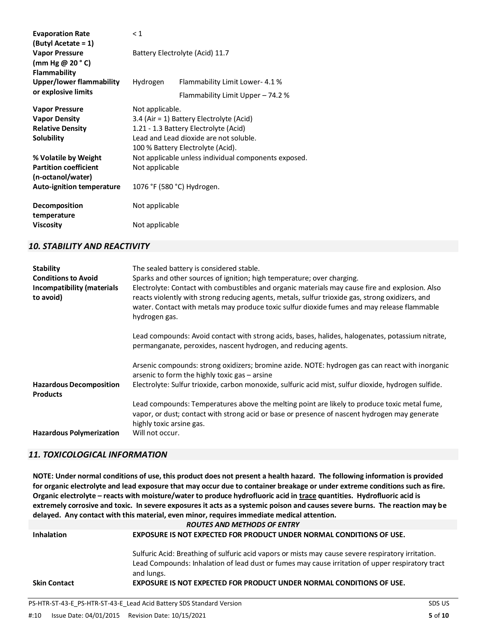| <b>Evaporation Rate</b>          | $\leq 1$                                 |                                                      |  |
|----------------------------------|------------------------------------------|------------------------------------------------------|--|
| (Butyl Acetate = 1)              |                                          |                                                      |  |
| <b>Vapor Pressure</b>            | Battery Electrolyte (Acid) 11.7          |                                                      |  |
| (mm Hg $@$ 20 $^{\circ}$ C)      |                                          |                                                      |  |
| Flammability                     |                                          |                                                      |  |
| Upper/lower flammability         | Hydrogen                                 | Flammability Limit Lower-4.1%                        |  |
| or explosive limits              |                                          | Flammability Limit Upper - 74.2 %                    |  |
| <b>Vapor Pressure</b>            | Not applicable.                          |                                                      |  |
| <b>Vapor Density</b>             | 3.4 (Air = 1) Battery Electrolyte (Acid) |                                                      |  |
| <b>Relative Density</b>          | 1.21 - 1.3 Battery Electrolyte (Acid)    |                                                      |  |
| Solubility                       |                                          | Lead and Lead dioxide are not soluble.               |  |
|                                  |                                          | 100 % Battery Electrolyte (Acid).                    |  |
| % Volatile by Weight             |                                          | Not applicable unless individual components exposed. |  |
| <b>Partition coefficient</b>     | Not applicable                           |                                                      |  |
| (n-octanol/water)                |                                          |                                                      |  |
| <b>Auto-ignition temperature</b> | 1076 °F (580 °C) Hydrogen.               |                                                      |  |
| Decomposition                    | Not applicable                           |                                                      |  |
| temperature                      |                                          |                                                      |  |
| <b>Viscosity</b>                 | Not applicable                           |                                                      |  |

## *10. STABILITY AND REACTIVITY*

| <b>Stability</b><br><b>Conditions to Avoid</b><br>Incompatibility (materials<br>to avoid) | The sealed battery is considered stable.<br>Sparks and other sources of ignition; high temperature; over charging.<br>Electrolyte: Contact with combustibles and organic materials may cause fire and explosion. Also<br>reacts violently with strong reducing agents, metals, sulfur trioxide gas, strong oxidizers, and<br>water. Contact with metals may produce toxic sulfur dioxide fumes and may release flammable<br>hydrogen gas. |
|-------------------------------------------------------------------------------------------|-------------------------------------------------------------------------------------------------------------------------------------------------------------------------------------------------------------------------------------------------------------------------------------------------------------------------------------------------------------------------------------------------------------------------------------------|
|                                                                                           | Lead compounds: Avoid contact with strong acids, bases, halides, halogenates, potassium nitrate,<br>permanganate, peroxides, nascent hydrogen, and reducing agents.                                                                                                                                                                                                                                                                       |
| <b>Hazardous Decomposition</b><br><b>Products</b>                                         | Arsenic compounds: strong oxidizers; bromine azide. NOTE: hydrogen gas can react with inorganic<br>arsenic to form the highly toxic gas – arsine<br>Electrolyte: Sulfur trioxide, carbon monoxide, sulfuric acid mist, sulfur dioxide, hydrogen sulfide.                                                                                                                                                                                  |
| <b>Hazardous Polymerization</b>                                                           | Lead compounds: Temperatures above the melting point are likely to produce toxic metal fume,<br>vapor, or dust; contact with strong acid or base or presence of nascent hydrogen may generate<br>highly toxic arsine gas.<br>Will not occur.                                                                                                                                                                                              |

## *11. TOXICOLOGICAL INFORMATION*

**NOTE: Under normal conditions of use, this product does not present a health hazard. The following information is provided for organic electrolyte and lead exposure that may occur due to container breakage or under extreme conditions such as fire. Organic electrolyte – reacts with moisture/water to produce hydrofluoric acid in trace quantities. Hydrofluoric acid is extremely corrosive and toxic. In severe exposures it acts as a systemic poison and causes severe burns. The reaction may be delayed. Any contact with this material, even minor, requires immediate medical attention.** *ROUTES AND METHODS OF ENTRY*

| <b>Inhalation</b>   | EXPOSURE IS NOT EXPECTED FOR PRODUCT UNDER NORMAL CONDITIONS OF USE.                               |
|---------------------|----------------------------------------------------------------------------------------------------|
|                     | Sulfuric Acid: Breathing of sulfuric acid vapors or mists may cause severe respiratory irritation. |
|                     | Lead Compounds: Inhalation of lead dust or fumes may cause irritation of upper respiratory tract   |
|                     | and lungs.                                                                                         |
| <b>Skin Contact</b> | EXPOSURE IS NOT EXPECTED FOR PRODUCT UNDER NORMAL CONDITIONS OF USE.                               |
|                     |                                                                                                    |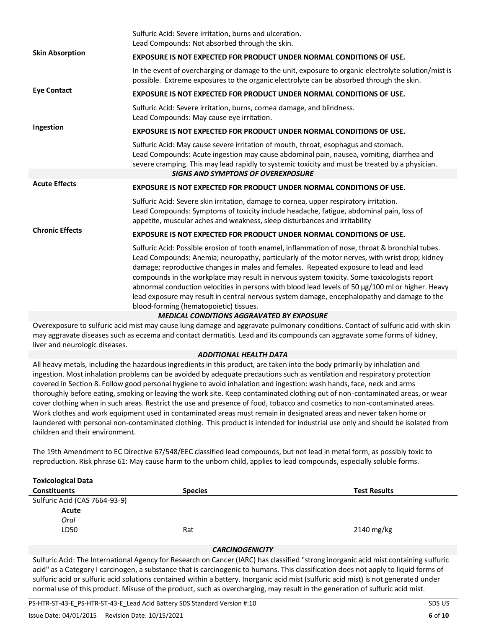|                        | Sulfuric Acid: Severe irritation, burns and ulceration.<br>Lead Compounds: Not absorbed through the skin.                                                                                                                                                                                                                                                                                                                                                                                                                                                                                                                               |
|------------------------|-----------------------------------------------------------------------------------------------------------------------------------------------------------------------------------------------------------------------------------------------------------------------------------------------------------------------------------------------------------------------------------------------------------------------------------------------------------------------------------------------------------------------------------------------------------------------------------------------------------------------------------------|
| <b>Skin Absorption</b> | <b>EXPOSURE IS NOT EXPECTED FOR PRODUCT UNDER NORMAL CONDITIONS OF USE.</b>                                                                                                                                                                                                                                                                                                                                                                                                                                                                                                                                                             |
|                        | In the event of overcharging or damage to the unit, exposure to organic electrolyte solution/mist is<br>possible. Extreme exposures to the organic electrolyte can be absorbed through the skin.                                                                                                                                                                                                                                                                                                                                                                                                                                        |
| <b>Eye Contact</b>     | <b>EXPOSURE IS NOT EXPECTED FOR PRODUCT UNDER NORMAL CONDITIONS OF USE.</b>                                                                                                                                                                                                                                                                                                                                                                                                                                                                                                                                                             |
|                        | Sulfuric Acid: Severe irritation, burns, cornea damage, and blindness.<br>Lead Compounds: May cause eye irritation.                                                                                                                                                                                                                                                                                                                                                                                                                                                                                                                     |
| Ingestion              | EXPOSURE IS NOT EXPECTED FOR PRODUCT UNDER NORMAL CONDITIONS OF USE.                                                                                                                                                                                                                                                                                                                                                                                                                                                                                                                                                                    |
|                        | Sulfuric Acid: May cause severe irritation of mouth, throat, esophagus and stomach.<br>Lead Compounds: Acute ingestion may cause abdominal pain, nausea, vomiting, diarrhea and<br>severe cramping. This may lead rapidly to systemic toxicity and must be treated by a physician.                                                                                                                                                                                                                                                                                                                                                      |
|                        | <b>SIGNS AND SYMPTONS OF OVEREXPOSURE</b>                                                                                                                                                                                                                                                                                                                                                                                                                                                                                                                                                                                               |
| <b>Acute Effects</b>   | EXPOSURE IS NOT EXPECTED FOR PRODUCT UNDER NORMAL CONDITIONS OF USE.                                                                                                                                                                                                                                                                                                                                                                                                                                                                                                                                                                    |
|                        | Sulfuric Acid: Severe skin irritation, damage to cornea, upper respiratory irritation.<br>Lead Compounds: Symptoms of toxicity include headache, fatigue, abdominal pain, loss of<br>appetite, muscular aches and weakness, sleep disturbances and irritability                                                                                                                                                                                                                                                                                                                                                                         |
| <b>Chronic Effects</b> | <b>EXPOSURE IS NOT EXPECTED FOR PRODUCT UNDER NORMAL CONDITIONS OF USE.</b>                                                                                                                                                                                                                                                                                                                                                                                                                                                                                                                                                             |
|                        | Sulfuric Acid: Possible erosion of tooth enamel, inflammation of nose, throat & bronchial tubes.<br>Lead Compounds: Anemia; neuropathy, particularly of the motor nerves, with wrist drop; kidney<br>damage; reproductive changes in males and females. Repeated exposure to lead and lead<br>compounds in the workplace may result in nervous system toxicity. Some toxicologists report<br>abnormal conduction velocities in persons with blood lead levels of 50 µg/100 ml or higher. Heavy<br>lead exposure may result in central nervous system damage, encephalopathy and damage to the<br>blood-forming (hematopoietic) tissues. |
|                        | <b>MEDICAL CONDITIONS AGGRAVATED BY EXPOSURE</b>                                                                                                                                                                                                                                                                                                                                                                                                                                                                                                                                                                                        |
|                        |                                                                                                                                                                                                                                                                                                                                                                                                                                                                                                                                                                                                                                         |

Overexposure to sulfuric acid mist may cause lung damage and aggravate pulmonary conditions. Contact of sulfuric acid with skin may aggravate diseases such as eczema and contact dermatitis. Lead and its compounds can aggravate some forms of kidney, liver and neurologic diseases.

## *ADDITIONAL HEALTH DATA*

All heavy metals, including the hazardous ingredients in this product, are taken into the body primarily by inhalation and ingestion. Most inhalation problems can be avoided by adequate precautions such as ventilation and respiratory protection covered in Section 8. Follow good personal hygiene to avoid inhalation and ingestion: wash hands, face, neck and arms thoroughly before eating, smoking or leaving the work site. Keep contaminated clothing out of non-contaminated areas, or wear cover clothing when in such areas. Restrict the use and presence of food, tobacco and cosmetics to non-contaminated areas. Work clothes and work equipment used in contaminated areas must remain in designated areas and never taken home or laundered with personal non-contaminated clothing. This product is intended for industrial use only and should be isolated from children and their environment.

The 19th Amendment to EC Directive 67/548/EEC classified lead compounds, but not lead in metal form, as possibly toxic to reproduction. Risk phrase 61: May cause harm to the unborn child, applies to lead compounds, especially soluble forms.

| <b>Toxicological Data</b>     |                |                     |
|-------------------------------|----------------|---------------------|
| <b>Constituents</b>           | <b>Species</b> | <b>Test Results</b> |
| Sulfuric Acid (CAS 7664-93-9) |                |                     |
| Acute                         |                |                     |
| Oral                          |                |                     |
| LD50                          | Rat            | 2140 mg/kg          |
|                               |                |                     |

## *CARCINOGENICITY*

Sulfuric Acid: The International Agency for Research on Cancer (IARC) has classified "strong inorganic acid mist containing sulfuric acid" as a Category I carcinogen, a substance that is carcinogenic to humans. This classification does not apply to liquid forms of sulfuric acid or sulfuric acid solutions contained within a battery. Inorganic acid mist (sulfuric acid mist) is not generated under normal use of this product. Misuse of the product, such as overcharging, may result in the generation of sulfuric acid mist.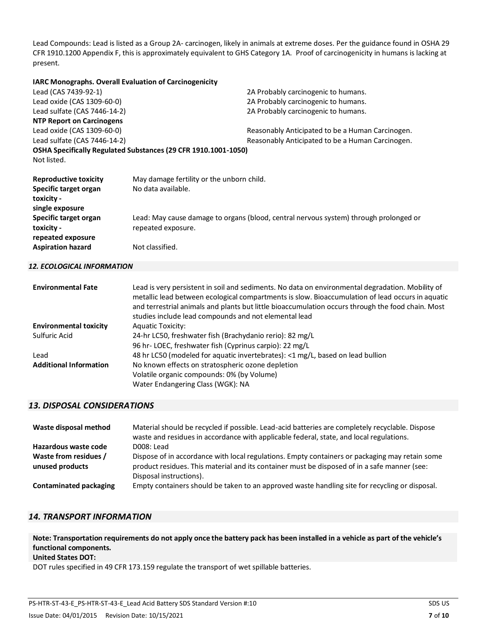Lead Compounds: Lead is listed as a Group 2A- carcinogen, likely in animals at extreme doses. Per the guidance found in OSHA 29 CFR 1910.1200 Appendix F, this is approximately equivalent to GHS Category 1A. Proof of carcinogenicity in humans is lacking at present.

#### **IARC Monographs. Overall Evaluation of Carcinogenicity**

| Lead (CAS 7439-92-1)<br>Lead oxide (CAS 1309-60-0)<br>Lead sulfate (CAS 7446-14-2)     |                                                                 | 2A Probably carcinogenic to humans.<br>2A Probably carcinogenic to humans.<br>2A Probably carcinogenic to humans. |
|----------------------------------------------------------------------------------------|-----------------------------------------------------------------|-------------------------------------------------------------------------------------------------------------------|
| <b>NTP Report on Carcinogens</b>                                                       |                                                                 |                                                                                                                   |
| Lead oxide (CAS 1309-60-0)<br>Lead sulfate (CAS 7446-14-2)                             |                                                                 | Reasonably Anticipated to be a Human Carcinogen.<br>Reasonably Anticipated to be a Human Carcinogen.              |
| Not listed.                                                                            | OSHA Specifically Regulated Substances (29 CFR 1910.1001-1050)  |                                                                                                                   |
| <b>Reproductive toxicity</b><br>Specific target organ<br>toxicity -<br>single exposure | May damage fertility or the unborn child.<br>No data available. |                                                                                                                   |
| Specific target organ<br>toxicity -<br>repeated exposure                               | repeated exposure.                                              | Lead: May cause damage to organs (blood, central nervous system) through prolonged or                             |
| <b>Aspiration hazard</b>                                                               | Not classified.                                                 |                                                                                                                   |

#### *12. ECOLOGICAL INFORMATION*

| <b>Environmental Fate</b>     | Lead is very persistent in soil and sediments. No data on environmental degradation. Mobility of<br>metallic lead between ecological compartments is slow. Bioaccumulation of lead occurs in aquatic<br>and terrestrial animals and plants but little bioaccumulation occurs through the food chain. Most<br>studies include lead compounds and not elemental lead |
|-------------------------------|--------------------------------------------------------------------------------------------------------------------------------------------------------------------------------------------------------------------------------------------------------------------------------------------------------------------------------------------------------------------|
| <b>Environmental toxicity</b> | <b>Aquatic Toxicity:</b>                                                                                                                                                                                                                                                                                                                                           |
| Sulfuric Acid                 | 24-hr LC50, freshwater fish (Brachydanio rerio): 82 mg/L                                                                                                                                                                                                                                                                                                           |
|                               | 96 hr-LOEC, freshwater fish (Cyprinus carpio): 22 mg/L                                                                                                                                                                                                                                                                                                             |
| Lead                          | 48 hr LC50 (modeled for aquatic invertebrates): <1 mg/L, based on lead bullion                                                                                                                                                                                                                                                                                     |
| <b>Additional Information</b> | No known effects on stratospheric ozone depletion                                                                                                                                                                                                                                                                                                                  |
|                               | Volatile organic compounds: 0% (by Volume)                                                                                                                                                                                                                                                                                                                         |
|                               | Water Endangering Class (WGK): NA                                                                                                                                                                                                                                                                                                                                  |

### *13. DISPOSAL CONSIDERATIONS*

| Waste disposal method         | Material should be recycled if possible. Lead-acid batteries are completely recyclable. Dispose<br>waste and residues in accordance with applicable federal, state, and local regulations. |
|-------------------------------|--------------------------------------------------------------------------------------------------------------------------------------------------------------------------------------------|
| Hazardous waste code          | $D008:$ Lead                                                                                                                                                                               |
| Waste from residues /         | Dispose of in accordance with local regulations. Empty containers or packaging may retain some                                                                                             |
| unused products               | product residues. This material and its container must be disposed of in a safe manner (see:<br>Disposal instructions).                                                                    |
| <b>Contaminated packaging</b> | Empty containers should be taken to an approved waste handling site for recycling or disposal.                                                                                             |

#### *14. TRANSPORT INFORMATION*

**Note: Transportation requirements do not apply once the battery pack has been installed in a vehicle as part of the vehicle's functional components.**

#### **United States DOT:**

DOT rules specified in 49 CFR 173.159 regulate the transport of wet spillable batteries.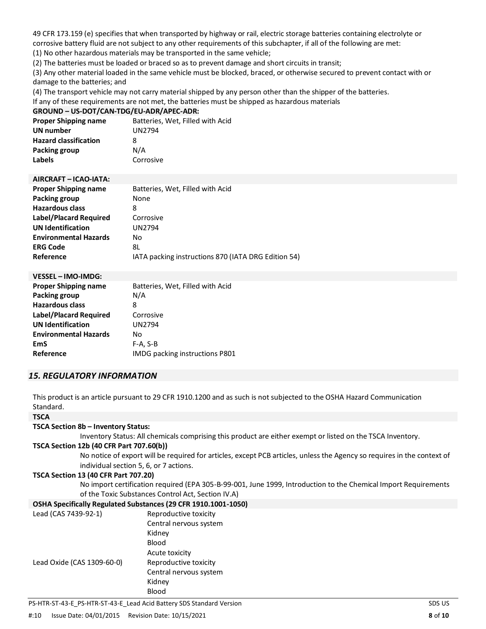49 CFR 173.159 (e) specifies that when transported by highway or rail, electric storage batteries containing electrolyte or corrosive battery fluid are not subject to any other requirements of this subchapter, if all of the following are met:

(1) No other hazardous materials may be transported in the same vehicle;

(2) The batteries must be loaded or braced so as to prevent damage and short circuits in transit;

(3) Any other material loaded in the same vehicle must be blocked, braced, or otherwise secured to prevent contact with or damage to the batteries; and

(4) The transport vehicle may not carry material shipped by any person other than the shipper of the batteries.

If any of these requirements are not met, the batteries must be shipped as hazardous materials

#### **GROUND – US-DOT/CAN-TDG/EU-ADR/APEC-ADR:**

| <b>Proper Shipping name</b>  | Batteries, Wet, Filled with Acid |
|------------------------------|----------------------------------|
| UN number                    | UN2794                           |
| <b>Hazard classification</b> | 8                                |
| Packing group                | N/A                              |
| Labels                       | Corrosive                        |

| AIRCRAFT - ICAO-IATA:        |                                                     |
|------------------------------|-----------------------------------------------------|
| <b>Proper Shipping name</b>  | Batteries, Wet, Filled with Acid                    |
| Packing group                | None                                                |
| <b>Hazardous class</b>       | 8                                                   |
| Label/Placard Required       | Corrosive                                           |
| <b>UN Identification</b>     | UN2794                                              |
| <b>Environmental Hazards</b> | No                                                  |
| <b>ERG Code</b>              | 8L                                                  |
| Reference                    | IATA packing instructions 870 (IATA DRG Edition 54) |

| <b>VESSEL - IMO-IMDG:</b>     |                                  |
|-------------------------------|----------------------------------|
| <b>Proper Shipping name</b>   | Batteries, Wet, Filled with Acid |
| <b>Packing group</b>          | N/A                              |
| <b>Hazardous class</b>        | 8                                |
| <b>Label/Placard Required</b> | Corrosive                        |
| <b>UN Identification</b>      | <b>UN2794</b>                    |
| <b>Environmental Hazards</b>  | No                               |
| EmS                           | $F-A, S-B$                       |
| Reference                     | IMDG packing instructions P801   |

## *15. REGULATORY INFORMATION*

This product is an article pursuant to 29 CFR 1910.1200 and as such is not subjected to the OSHA Hazard Communication Standard.

#### **TSCA**

#### **TSCA Section 8b – Inventory Status:**

Inventory Status: All chemicals comprising this product are either exempt or listed on the TSCA Inventory.

#### **TSCA Section 12b (40 CFR Part 707.60(b))**

No notice of export will be required for articles, except PCB articles, unless the Agency so requires in the context of individual section 5, 6, or 7 actions.

#### **TSCA Section 13 (40 CFR Part 707.20)**

No import certification required (EPA 305-B-99-001, June 1999, Introduction to the Chemical Import Requirements of the Toxic Substances Control Act, Section IV.A)

#### **OSHA Specifically Regulated Substances (29 CFR 1910.1001-1050)**

| Lead (CAS 7439-92-1)       | Reproductive toxicity  |
|----------------------------|------------------------|
|                            | Central nervous system |
|                            | Kidney                 |
|                            | Blood                  |
|                            | Acute toxicity         |
| Lead Oxide (CAS 1309-60-0) | Reproductive toxicity  |
|                            | Central nervous system |
|                            | Kidney                 |
|                            | <b>Blood</b>           |

PS-HTR-ST-43-E\_PS-HTR-ST-43-E\_Lead Acid Battery SDS Standard Version SDS US CONSERVITIES And THE SUS US US US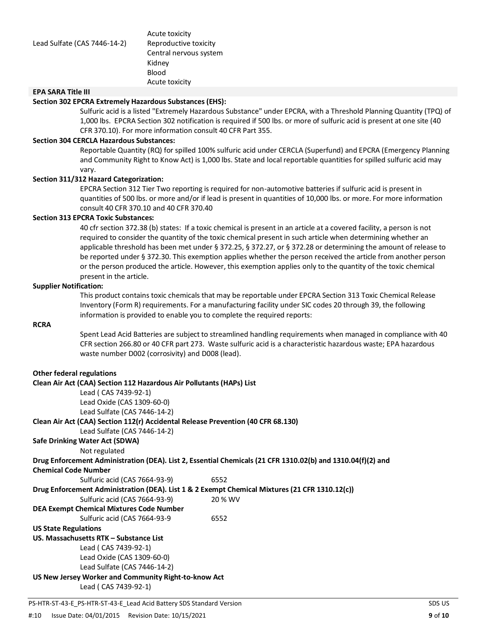Acute toxicity Central nervous system Kidney Blood Acute toxicity

## **EPA SARA Title III**

#### **Section 302 EPCRA Extremely Hazardous Substances (EHS):**

Sulfuric acid is a listed "Extremely Hazardous Substance" under EPCRA, with a Threshold Planning Quantity (TPQ) of 1,000 lbs. EPCRA Section 302 notification is required if 500 lbs. or more of sulfuric acid is present at one site (40 CFR 370.10). For more information consult 40 CFR Part 355.

#### **Section 304 CERCLA Hazardous Substances:**

Reportable Quantity (RQ) for spilled 100% sulfuric acid under CERCLA (Superfund) and EPCRA (Emergency Planning and Community Right to Know Act) is 1,000 lbs. State and local reportable quantities for spilled sulfuric acid may vary.

#### **Section 311/312 Hazard Categorization:**

EPCRA Section 312 Tier Two reporting is required for non-automotive batteries if sulfuric acid is present in quantities of 500 lbs. or more and/or if lead is present in quantities of 10,000 lbs. or more. For more information consult 40 CFR 370.10 and 40 CFR 370.40

#### **Section 313 EPCRA Toxic Substances:**

40 cfr section 372.38 (b) states: If a toxic chemical is present in an article at a covered facility, a person is not required to consider the quantity of the toxic chemical present in such article when determining whether an applicable threshold has been met under § 372.25, § 372.27, or § 372.28 or determining the amount of release to be reported under § 372.30. This exemption applies whether the person received the article from another person or the person produced the article. However, this exemption applies only to the quantity of the toxic chemical present in the article.

#### **Supplier Notification:**

This product contains toxic chemicals that may be reportable under EPCRA Section 313 Toxic Chemical Release Inventory (Form R) requirements. For a manufacturing facility under SIC codes 20 through 39, the following information is provided to enable you to complete the required reports:

#### **RCRA**

Spent Lead Acid Batteries are subject to streamlined handling requirements when managed in compliance with 40 CFR section 266.80 or 40 CFR part 273. Waste sulfuric acid is a characteristic hazardous waste; EPA hazardous waste number D002 (corrosivity) and D008 (lead).

#### **Other federal regulations**

| Clean Air Act (CAA) Section 112 Hazardous Air Pollutants (HAPs) List                           |                                                                                                             |  |  |  |
|------------------------------------------------------------------------------------------------|-------------------------------------------------------------------------------------------------------------|--|--|--|
| Lead ( CAS 7439-92-1)                                                                          |                                                                                                             |  |  |  |
| Lead Oxide (CAS 1309-60-0)                                                                     |                                                                                                             |  |  |  |
| Lead Sulfate (CAS 7446-14-2)                                                                   |                                                                                                             |  |  |  |
| Clean Air Act (CAA) Section 112(r) Accidental Release Prevention (40 CFR 68.130)               |                                                                                                             |  |  |  |
| Lead Sulfate (CAS 7446-14-2)                                                                   |                                                                                                             |  |  |  |
| <b>Safe Drinking Water Act (SDWA)</b>                                                          |                                                                                                             |  |  |  |
| Not regulated                                                                                  |                                                                                                             |  |  |  |
|                                                                                                | Drug Enforcement Administration (DEA). List 2, Essential Chemicals (21 CFR 1310.02(b) and 1310.04(f)(2) and |  |  |  |
| <b>Chemical Code Number</b>                                                                    |                                                                                                             |  |  |  |
| Sulfuric acid (CAS 7664-93-9)                                                                  | 6552                                                                                                        |  |  |  |
| Drug Enforcement Administration (DEA). List 1 & 2 Exempt Chemical Mixtures (21 CFR 1310.12(c)) |                                                                                                             |  |  |  |
| Sulfuric acid (CAS 7664-93-9)                                                                  | 20 % WV                                                                                                     |  |  |  |
| <b>DEA Exempt Chemical Mixtures Code Number</b>                                                |                                                                                                             |  |  |  |
| Sulfuric acid (CAS 7664-93-9                                                                   | 6552                                                                                                        |  |  |  |
| <b>US State Regulations</b>                                                                    |                                                                                                             |  |  |  |
| US. Massachusetts RTK – Substance List                                                         |                                                                                                             |  |  |  |
| Lead (CAS 7439-92-1)                                                                           |                                                                                                             |  |  |  |
| Lead Oxide (CAS 1309-60-0)                                                                     |                                                                                                             |  |  |  |
| Lead Sulfate (CAS 7446-14-2)                                                                   |                                                                                                             |  |  |  |
| US New Jersey Worker and Community Right-to-know Act                                           |                                                                                                             |  |  |  |
| Lead ( CAS 7439-92-1)                                                                          |                                                                                                             |  |  |  |
|                                                                                                |                                                                                                             |  |  |  |